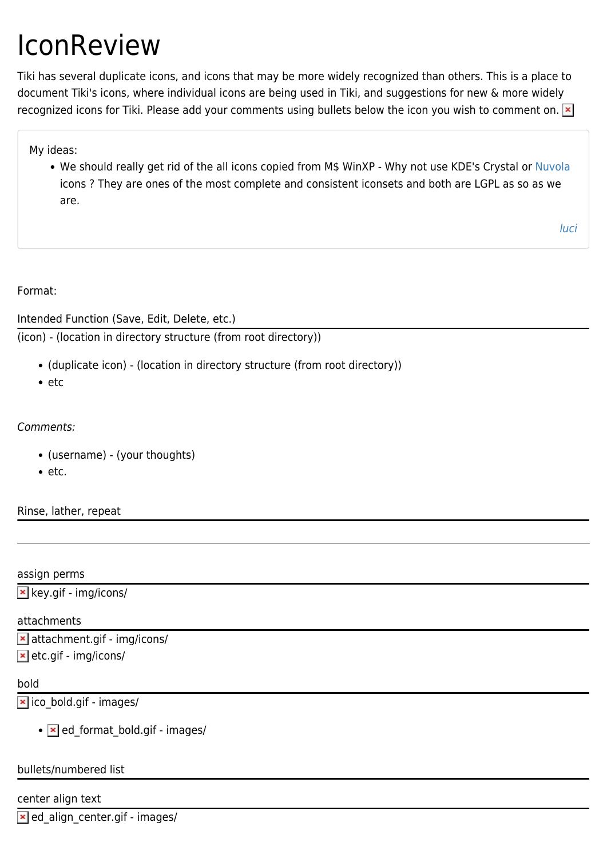# IconReview

Tiki has several duplicate icons, and icons that may be more widely recognized than others. This is a place to document Tiki's icons, where individual icons are being used in Tiki, and suggestions for new & more widely recognized icons for Tiki. Please add your comments using bullets below the icon you wish to comment on. **[x]** 

My ideas:

• We should really get rid of the all icons copied from M\$ WinXP - Why not use KDE's Crystal or [Nuvola](http://kdelook.org/content/show.php?content=5358) icons ? They are ones of the most complete and consistent iconsets and both are LGPL as so as we are.

[luci](https://tiki.org/UserPageluci)

Format:

Intended Function (Save, Edit, Delete, etc.)

(icon) - (location in directory structure (from root directory))

- (duplicate icon) (location in directory structure (from root directory))
- $e$  etc

Comments:

- (username) (your thoughts)
- $e$  etc.

Rinse, lather, repeat

assign perms

 $\mathbf{\times}$  key.gif - img/icons/

#### attachments

 attachment.gif - img/icons/  $\vert \mathbf{x} \vert$  etc.gif - img/icons/

## bold

 $\overline{\phantom{a}}$  ico bold.gif - images/

 $\bullet$   $\overline{\phantom{a}}$  ed format bold.gif - images/

#### bullets/numbered list

center align text

 $\geq$  ed align center.gif - images/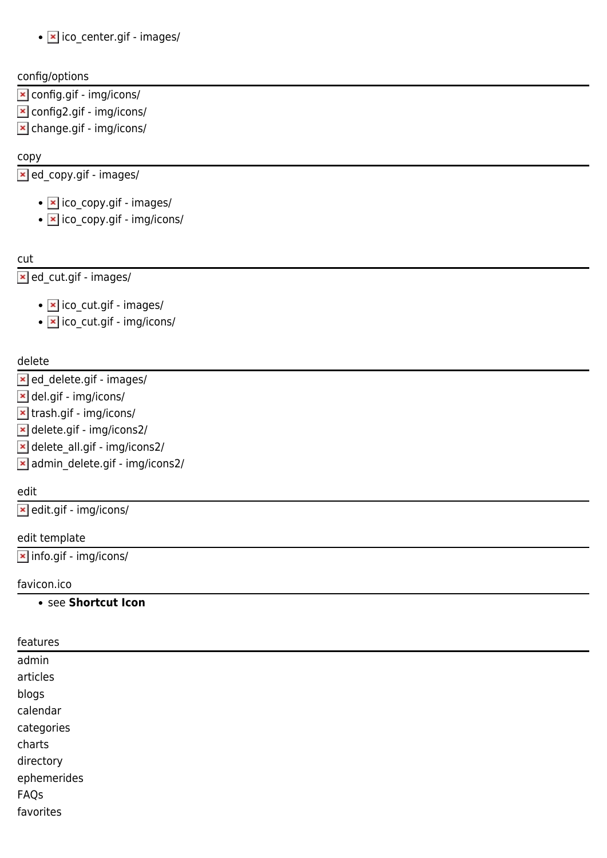• **x** ico center.gif - images/

#### config/options

- config.gif img/icons/
- config2.gif img/icons/
- change.gif img/icons/

#### copy

ed\_copy.gif - images/

- **x** ico\_copy.gif images/
- **x** ico\_copy.gif img/icons/

cut

**Ex** ed\_cut.gif - images/

- **x** ico\_cut.gif images/
- **x** ico\_cut.gif img/icons/

#### delete

- **x** ed delete.gif images/
- del.gif img/icons/
- trash.gif img/icons/
- delete.gif img/icons2/
- delete\_all.gif img/icons2/
- admin\_delete.gif img/icons2/

#### edit

edit.gif - img/icons/

edit template

**x** info.gif - img/icons/

#### favicon.ico

#### see **Shortcut Icon**

| features    |  |
|-------------|--|
| admin       |  |
| articles    |  |
| blogs       |  |
| calendar    |  |
| categories  |  |
| charts      |  |
| directory   |  |
| ephemerides |  |
| FAQs        |  |
| favorites   |  |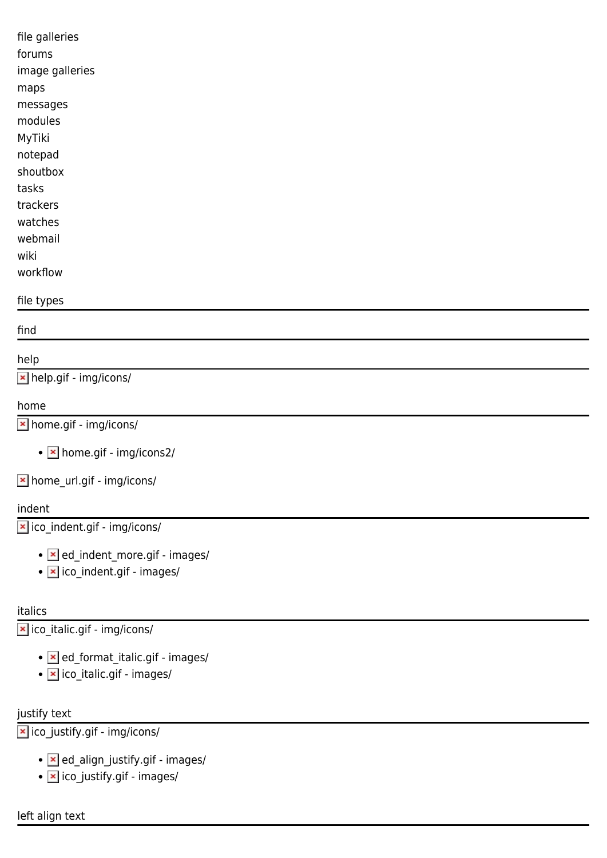| file galleries  |  |
|-----------------|--|
| forums          |  |
| image galleries |  |
| maps            |  |
| messages        |  |
| modules         |  |
| MyTiki          |  |
| notepad         |  |
| shoutbox        |  |
| tasks           |  |
| trackers        |  |
| watches         |  |
| webmail         |  |
| wiki            |  |
| workflow        |  |
| file types      |  |

find

# help

help.gif - img/icons/

#### home

home.gif - img/icons/

• **x** home.gif - img/icons2/

home\_url.gif - img/icons/

## indent

ico\_indent.gif - img/icons/

- **Ex** ed\_indent\_more.gif images/
- **x** ico\_indent.gif images/

## italics

ico\_italic.gif - img/icons/

- **Ex** ed\_format\_italic.gif images/
- **x** ico\_italic.gif images/

# justify text

ico\_justify.gif - img/icons/

- **x** ed\_align\_justify.gif images/
- **x** ico\_justify.gif images/

left align text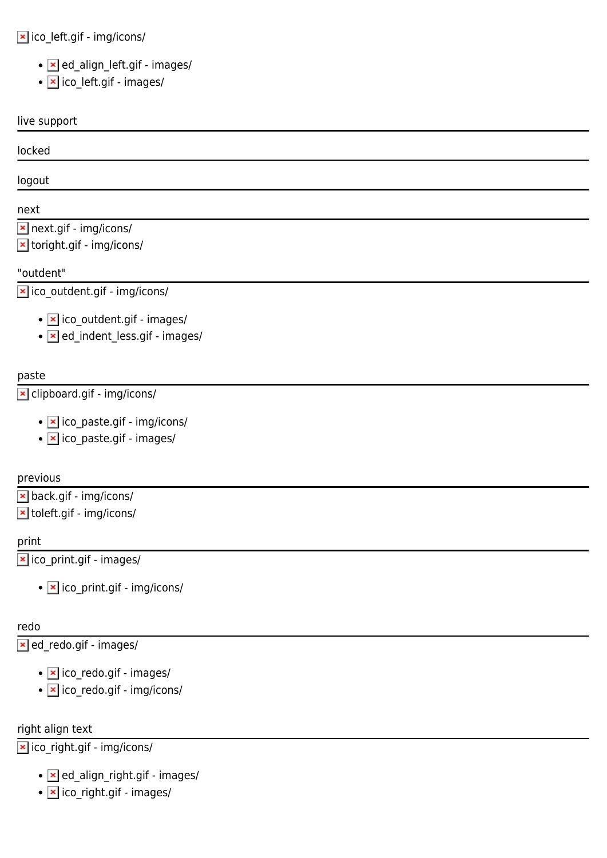# ico\_left.gif - img/icons/

- **x** ed\_align\_left.gif images/
- **x** ico\_left.gif images/

#### live support

#### locked

logout

## next

next.gif - img/icons/

**x** toright.gif - img/icons/

## "outdent"

ico\_outdent.gif - img/icons/

- **x** ico outdent.gif images/
- **z** ed indent less.gif images/

# paste

# clipboard.gif - img/icons/

- **x** ico paste.gif img/icons/
- **x** ico paste.gif images/

## previous

back.gif - img/icons/

toleft.gif - img/icons/

## print

ico\_print.gif - images/

• **x** ico\_print.gif - img/icons/

## redo

ed\_redo.gif - images/

- **x** ico redo.gif images/
- $\cdot$   $\overline{\phantom{a}}$  ico redo.gif img/icons/

## right align text

ico\_right.gif - img/icons/

- **x** ed align right.gif images/
- $\bullet$   $\times$  ico right.gif images/